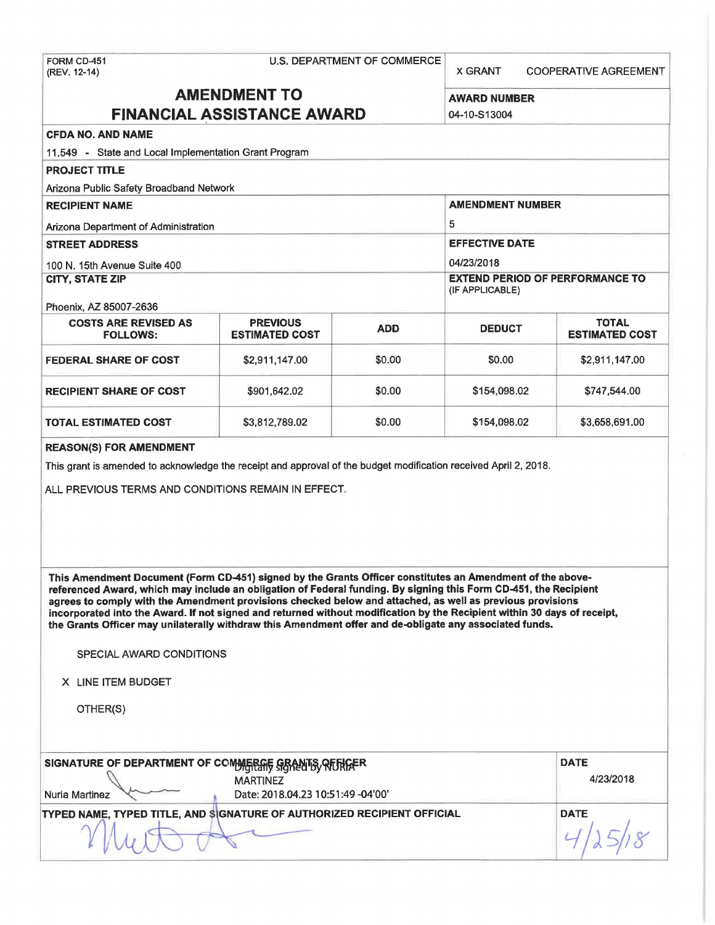X GRANT COOPERATIVE AGREEMENT

## **AMENDMENT TO** AWARD NUMBER **FINANCIAL ASSISTANCE AWARD 104-10-S13004**

## **CFDA NO. AND NAME**

11.549 - State and Local Implementation Grant Program

## **PROJECT TITLE**

Arizona Public Safety Broadband Network

# **RECIPIENT NAME** AMENDMENT NUMBER Arizona Department of Administration 6 and 5 and 5 and 5 and 5 and 5 and 5 and 5 and 5 and 5 and 5 and 5 and 5  $\pm$ **STREET ADDRESS EXECUTE DATE EFFECTIVE DATE** 100 N. 15th Avenue Suite 400 **04/23/2018 CITY, STATE ZIP** EXTEND PERIOD OF PERFORMANCE TO (IF APPLICABLE) Phoenix, AZ. 85007-2636 COSTS ARE REVISED AS **REVIOUS EXECUTS ADD** DEDUCT **TOTAL TOTAL ADD** PREVIOUS ADD DEDUCT **RESTIMATED COST ESTIMATED COST FEDERAL SHARE OF COST**  $$2,911,147.00$  $$0.00$  $$0.00$  $$2,911,147.00$ **RECIPIENT SHARE OF COST**  $$901,642.02$  $$0.00$  $$154,098.02$  **\$747,544.00 TOTAL ESTIMATED COST \$3,812,789.02 \$0.00 \$154,098.02 \$3,658,691.00**

#### **REASON(\$) FOR AMENDMENT**

This grant is amended to acknowledge the receipt and approval of the budget modification received April 2, 2018.

ALL PREVIOUS TERMS AND CONDITIONS REMAIN IN EFFECT.

**This Amendment Document (Form CD-451) signed by the Grants Officer constitutes an Amendment of the above**referenced Award, which may include an obligation of Federal funding. By signing this Form CD-451, the Recipient **agrees to comply with the Amendment provisions checked below and attached, as well as previous provisions incorporated into the Award. If not signed and returned without modification by the Recipient within 30 days of receipt, the Grants Officer may unilaterally withdraw this Amendment offer and de-obligate any associated funds.** 

SPECIAL AWARD CONDITIONS

**X** LINE ITEM BUDGET

OTHER(S)

| <b>Nuria Martinez</b>                                                   | SIGNATURE OF DEPARTMENT OF COMMERCHE GRANTS RITHGER<br><b>MARTINEZ</b><br>Date: 2018.04.23 10:51:49 -04'00' | <b>DATE</b><br>4/23/2018 |
|-------------------------------------------------------------------------|-------------------------------------------------------------------------------------------------------------|--------------------------|
| TYPED NAME, TYPED TITLE, AND SIGNATURE OF AUTHORIZED RECIPIENT OFFICIAL | <b>DATE</b>                                                                                                 |                          |